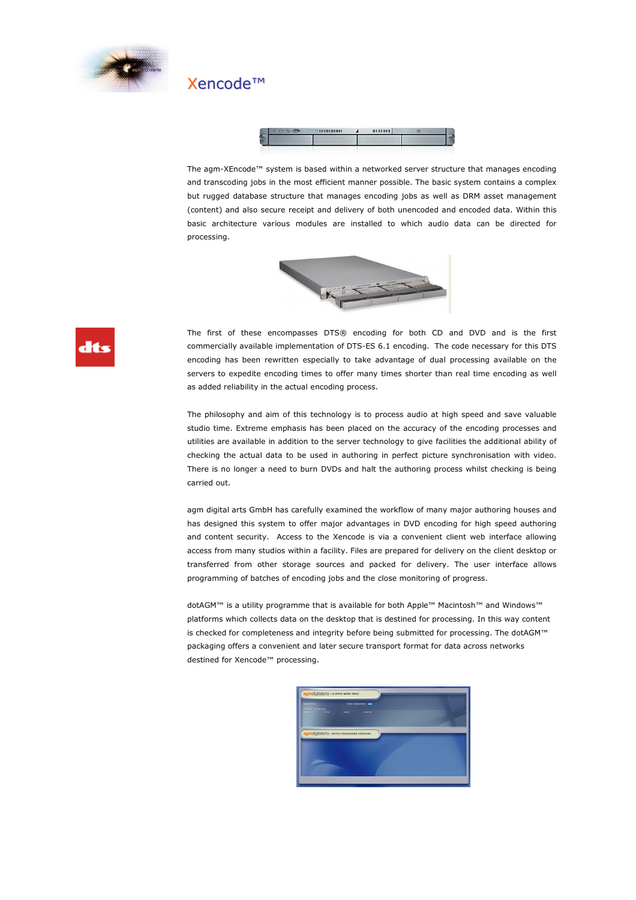

## Xencode™



The agm-XEncode™ system is based within a networked server structure that manages encoding and transcoding jobs in the most efficient manner possible. The basic system contains a complex but rugged database structure that manages encoding jobs as well as DRM asset management (content) and also secure receipt and delivery of both unencoded and encoded data. Within this basic architecture various modules are installed to which audio data can be directed for processing.





The first of these encompasses DTS® encoding for both CD and DVD and is the first commercially available implementation of DTS-ES 6.1 encoding. The code necessary for this DTS encoding has been rewritten especially to take advantage of dual processing available on the servers to expedite encoding times to offer many times shorter than real time encoding as well as added reliability in the actual encoding process.

 The philosophy and aim of this technology is to process audio at high speed and save valuable studio time. Extreme emphasis has been placed on the accuracy of the encoding processes and utilities are available in addition to the server technology to give facilities the additional ability of checking the actual data to be used in authoring in perfect picture synchronisation with video. There is no longer a need to burn DVDs and halt the authoring process whilst checking is being carried out.

 agm digital arts GmbH has carefully examined the workflow of many major authoring houses and has designed this system to offer major advantages in DVD encoding for high speed authoring and content security. Access to the Xencode is via a convenient client web interface allowing access from many studios within a facility. Files are prepared for delivery on the client desktop or transferred from other storage sources and packed for delivery. The user interface allows programming of batches of encoding jobs and the close monitoring of progress.

 dotAGM™ is a utility programme that is available for both Apple™ Macintosh™ and Windows™ platforms which collects data on the desktop that is destined for processing. In this way content is checked for completeness and integrity before being submitted for processing. The dotAGM™ packaging offers a convenient and later secure transport format for data across networks destined for Xencode™ processing.